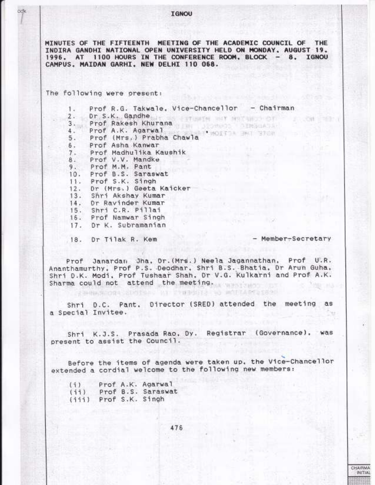MINUTES OF THE FIFTEENTH MEETING OF THE ACADEMIC COUNCIL OF THE INDIRA GANDHI NATIONAL OPEN UNIVERSITY HELD ON MONDAY, AUGUST 19. 1996. AT 1100 HOURS IN THE CONFERENCE ROOM, BLOCK - 8, IGNOU CAMPUS. MAIDAN GARHI, NEW DELHI 110 068.

The following were present:

Prof R.G. Takwale, Vice-Chancellor - Chairman 1. Dr. S.K. Gandhe are as estimate with matamakers of  $2.$  $10.01$ Prof. Rakesh Khurana June Jackson Charles Co  $3 \cdot \frac{1}{2}$ Prof A.K. Agarwal and well worth and show 4. Prof (Mrs.) Prabha Chawla 5. Prof Asha Kanwar 6. 7. Prof Madhulika Kaushik Prof V.V. Mandke 8. Prof M.M. Pant 9. 10. Prof B.S. Saraswat 11. Prof S.K. Singh  $12.$ Dr (Mrs.) Geeta Kaicker 13. Shri Akshay Kumar  $\frac{14}{15}$ . Dr Ravinder Kumar Shri C.R. Pillai 16. Prof Namwar Singh 17. Dr K. Subramanian

18. Dr Tilak R. Kem

2440A50004 200150A0 KT 27895112 W)

- Member-Secretary

CHAIRMA INITIAL

Prof Janardan Jha, Dr. (Mrs.) Neela Jagannathan, Prof U.R. Ananthamurthy, Prof P.S. Deodhar, Shri B.S. Bhatia, Dr Arun Guha,<br>Shri D.K. Modi, Prof Tushaar Shah, Dr V.G. Kulkarni and Prof A.K. Sharma could not attend the meeting.

Shri D.C. Pant, Director (SRED) attended the meeting as a Special Invitee.

Shri K.J.S. Prasada Rao, Dy. Registrar (Governance), was present to assist the Council.

Before the items of agenda were taken up, the Vice-Chancellor extended a cordial welcome to the following new members:

| (1)   |  | Prof A.K. Agarwal  |
|-------|--|--------------------|
| (iii) |  | Prof B.S. Saraswat |
| (111) |  | Prof S.K. Singh    |

476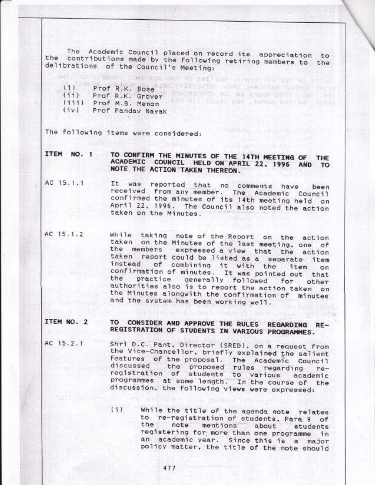The Academic Council placed on record its appreciation to contributions made by the following retiring members to the the delibrations of the Council's Meeting:

**WELFAULT SAINTS THE ROOM** 

THE BETWEEN THE RING CHART COM

Prof R.K. Bose and Light and Company of the Company  $(i)$  $(11)$ Prof R.K. Grover **FRANCISCO (TROJECTION CONTRACTOR)** NORTH (iii) Prof M.B. Menon  $(iv)$ Prof Panday Nayak

TANADO

The following items were considered:

**MACINESA** 

TO CONFIRM THE MINUTES OF THE 14TH MEETING OF THE ITEM NO. 1 ACADEMIC COUNCIL HELD ON APRIL 22, 1996 AND TO NOTE THE ACTION TAKEN THEREON.

- AC 15.1.1 It was reported that no comments have been received from any member. The Academic Council confirmed the minutes of its 14th meeting held on April 22, 1996. The Council also noted the action taken on the Minutes.
- while taking note of the Report on the action AC 15.1.2 taken on the Minutes of the last meeting, one of the members expressed a view that the action taken report could be listed as a separate item of combining it with the item instead on confirmation of minutes. It was pointed out that practice generally followed for other the authorities also is to report the action taken on the Minutes alongwith the confirmation of minutes and the system has been working well.

## TO CONSIDER AND APPROVE THE RULES REGARDING RE-ITEM NO. 2 REGISTRATION OF STUDENTS IN VARIOUS PROGRAMMES.

- AC 15.2.1 Shri D.C. Pant, Director (SRED), on a request from the Vice-Chancellor, briefly explained the salient features of the proposal. The Academic Council discussed the proposed rules regarding re-<br>registration of students to various academic<br>programmes at some length. In the course of the discussion, the following views were expressed:
	- $(1)$ While the title of the agenda note relates to re-registration of students, Para 9 of the note mentions about students registering for more than one programme in an academic year. Since this is a major policy matter, the title of the note should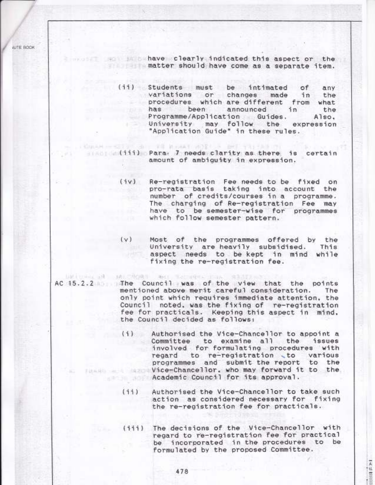**JUTE BOOK** 

and the set of the basic steamly indicated this aspect or the matter should have come as a separate item.

- (ii) Students must be intimated of any variations or changes made in the procedures which are different from what has been announced in the Programme/Application Guides. Also. University may follow the expression "Application Guide" in these rules.
- (iii) Para 7 needs clarity as there is certain amount of ambiguity in expression.
	- (iv) Re-registration Fee needs to be fixed on pro-rata basis taking into account the number of credits/courses in a programme. The charging of Re-registration Fee may have to be semester-wise for programmes which follow semester pattern.
	- (v) Most of the programmes offered by the University are heavily subsidised. This: aspect needs to be kept in mind while fixing the re-registration fee.

BACK DIRECTOR TO AN UNIVERSITY OF A RESIDENCE OF A REAL AC 15.2.2 The Council was of the view that the points mentioned above merit careful consideration. The only point which requires immediate attention, the Council noted, was the fixing of re-registration fee for practicals. Keeping this aspect in mind. the Council decided as follows:

UNAR - SEE CONTROLL TO MORAT WEEK - BET THE SAINTS

- Authorised the Vice-Chancellor to appoint a  $(i)$ Committee to examine all the issues involved for formulating procedures with regard to re-registration to various programmes and submit the report to the who may forward it to the Academic Council for its approval.
	- Authorised the Vice-Chancellor to take such  $(11)$ action as considered necessary for fixing the re-registration fee for practicals.
	- (iii) The decisions of the Vice-Chancellor with regard to re-registration fee for practical be incorporated in the procedures to be formulated by the proposed Committee.

人口的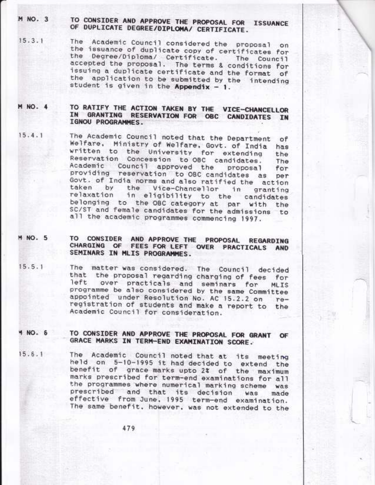M NO. 3

## TO CONSIDER AND APPROVE THE PROPOSAL FOR ISSUANCE OF DUPLICATE DEGREE/DIPLOMA/ CERTIFICATE.

- The Academic Council considered the proposal on  $15.3.1$ the issuance of duplicate copy of certificates for the Degree/Diploma/ Certificate. The Council accepted the proposal. The terms & conditions for issuing a duplicate certificate and the format of the application to be submitted by the intending student is given in the Appendix - 1.
- TO RATIFY THE ACTION TAKEN BY THE VICE-CHANCELLOR M NO. 4 IN GRANTING RESERVATION FOR OBC CANDIDATES IN IGNOU PROGRAMMES.
- The Academic Council noted that the Department  $15.4.1$ of Welfare, Ministry of Welfare, Govt. of India has written to the University for extending the Reservation Concession to OBC candidates. The Academic Council approved the proposal for providing reservation to OBC candidates as per Govt. of India norms and also ratified the action taken by the Vice-Chancellor in granting relaxation in eligibility to the candidates belonging to the OBC category at par with the SC/ST and female candidates for the admissions to all the academic programmes commencing 1997.
- TO CONSIDER AND APPROVE THE PROPOSAL REGARDING M NO. 5 CHARGING OF FEES FOR LEFT OVER PRACTICALS AND SEMINARS IN MLIS PROGRAMMES.
- The matter was considered. The Council decided  $15.5.1$ that the proposal regarding charging of fees for left over practicals and seminars for **MLIS** programme be also considered by the same Committee appointed under Resolution No. AC 15.2.2 on  $r_{\theta}$ registration of students and make a report to the Academic Council for consideration.
- TO CONSIDER AND APPROVE THE PROPOSAL FOR GRANT OF **4 NO. 6** GRACE MARKS IN TERM-END EXAMINATION SCORE.
- The Academic Council noted that at its meeting  $15.6.1$ held on 5-10-1995 it had decided to extend the benefit of grace marks upto 2% of the maximum marks prescribed for term-end examinations for all the programmes where numerical marking scheme was prescribed and that its decision was made effective from June, 1995 term-end examination. The same benefit, however, was not extended to the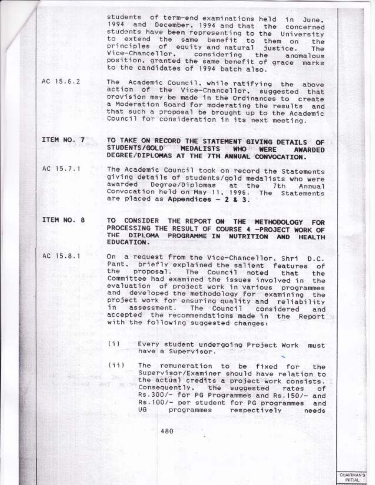students of term-end examinations held in June. 1994 and December, 1994 and that the concerned students have been representing to the University to extend the same benefit to them on the principles of equity and natural justice. The Vice-Chancellor, considering the anomalous position, granted the same benefit of grace marks to the candidates of 1994 batch also.

AC 15.6.2 The Academic Council, while ratifying the above action of the Vice-Chancellor, suggested that provision may be made in the Ordinances to create a Moderation Soard for moderating the results and that such a proposal be brought up to the Academic Council for consideration in its next meeting.

ITEM NO. 7 TO TAKE ON RECORD THE STATEMENT GIVING DETAILS OF STUDENTS/GOLD MEDALISTS WHO WERE **AWARDED** DEGREE/DIPLOMAS AT THE 7TH ANNUAL CONVOCATION.

- The Academic Council took on record the Statements AC 15.7.1 giving details of students/gold medalists who were awarded Degree/Diplomas at the 7th Annual Convocation held on May 11, 1996. The Statements are placed as Appendices - 2 & 3.
- ITEM NO. 8 TO CONSIDER THE REPORT ON THE METHODOLOGY FOR PROCESSING THE RESULT OF COURSE 4 -PROJECT WORK OF THE DIPLOMA PROGRAMME IN NUTRITION AND HEALTH EDUCATION.
- AC 15.8.1

On a request from the Vice-Chancellor, Shri D.C. Pant, briefly explained the salient features of the proposal. The Council noted that the Committee had examined the issues involved in the evaluation of project work in various programmes and developed the methodology for examining the project work for ensuring quality and reliability assessment. The Council considered in and accepted the recommendations made in the Report with the following suggested changes:

- (i) Every student undergoing Project Work must have a Supervisor.
- $(11)$ The remuneration to be fixed for the Supervisor/Examiner should have relation to **CONTRACTOR** the actual credits a project work consists.  $-44$   $-4$ Consequently, the suggested rates  $of$ Rs.300/- for PG Programmes and Rs.150/- and Rs. 100/- per student for PG programmes and UG programmes respectively needs

480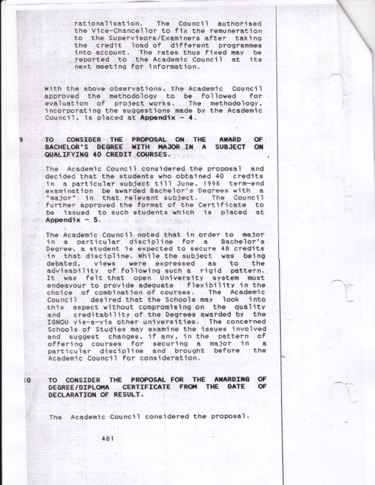rationalisation. The Council authorised the Vice-Chancellor to fix the remuneration to the Supervisors/Examiners after taking the credit load of different programmes into account. The rates thus fixed may be reported to the Academic Council at its next meeting for information.

With the above observations, the Academic Council approved the methodology to be followed for<br>evaluation of project\_works. The methodology, incorporating the suggestions made by the Academic Council, is placed at Appendix  $-4$ .

## CONSIDER THE PROPOSAL ON THE TO ... AWARD OF BACHELOR'S DEGREE WITH MAJOR IN A SUBJECT ON QUALIFYING 40 CREDIT COURSES.

The Academic Council considered the proposal and decided that the students who obtained 40 credits in a particular subject till June, 1996 term-end examination be awarded Bachelor's Degrees with a "major" in that relevant subject. The Council further approved the format of the Certificate to be issued to such students which is placed at Appendix  $-5$ .

The Academic Council noted that in order to major in a particular discipline for a Bachelor's<br>Degree, a student is expected to secure 48 credits in that discipline. While the subject was being debated. views were expressed as to the advisability of following such a rigid pattern. It was felt that open University system must endeavour to provide adequate flexibility in the The Academic choice of combination of courses. desired that the Schools may look into Council this aspect without compromising on the quality creditability of the Degrees awarded by the and IGNOU vis-a-vis other universities. The concerned Schools of Studies may examine the issues involved and suggest changes, if any, in the pattern of offering courses for securing a major in a particular discipline and brought before the Academic Council for consideration.

TO CONSIDER THE PROPOSAL FOR THE AWARDING OF DEGREE/DIPLOMA CERTIFICATE FROM THE DATE OF DECLARATION OF RESULT.

The Academic Council considered the proposal.

 $\overline{0}$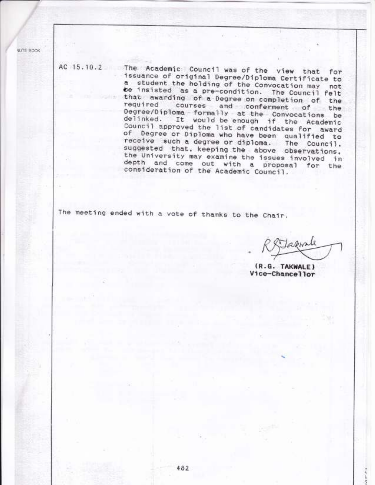**NUTE BOOK** 

AC 15.10.2 The Academic Council was of the view that for issuance of original Degree/Diploma Certificate to a student the holding of the Convocation may not be insisted as a pre-condition. The Council felt that awarding of a Degree on completion of the required courses and conferment of the Degree/Diploma formally at the Convocations be delinked. It would be enough if the Academic Council approved the list of candidates for award of Degree or Diploma who have been qualified to receive such a degree or diploma. The Council, suggested that, keeping the above observations, the University may examine the issues involved in depth and come out with a proposal for the consideration of the Academic Council.

The meeting ended with a vote of thanks to the Chair.

apuste

(R.G. TAKWALE) Vice-Chancellor